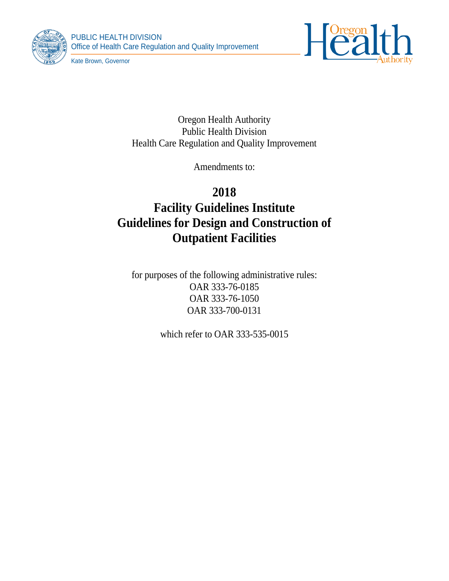



Kate Brown, Governor

Oregon Health Authority Public Health Division Health Care Regulation and Quality Improvement

Amendments to:

# **2018 Facility Guidelines Institute Guidelines for Design and Construction of Outpatient Facilities**

for purposes of the following administrative rules: OAR 333-76-0185 OAR 333-76-1050 OAR 333-700-0131

which refer to OAR 333-535-0015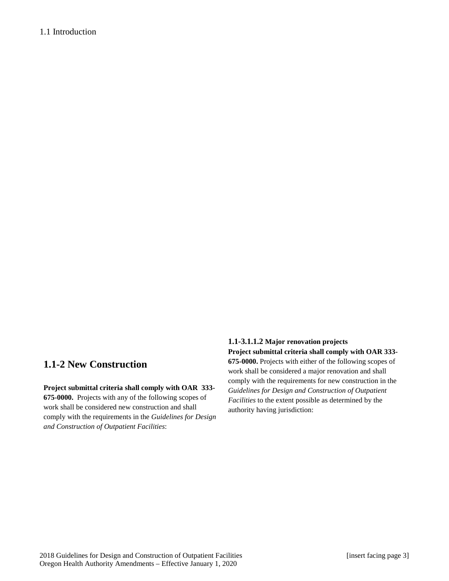# 1.1 Introduction

# **1.1-2 New Construction**

### **Project submittal criteria shall comply with OAR 333-**

**675-0000.** Projects with any of the following scopes of work shall be considered new construction and shall comply with the requirements in the *Guidelines for Design and Construction of Outpatient Facilities*:

# **1.1-3.1.1.2 Major renovation projects**

**Project submittal criteria shall comply with OAR 333- 675-0000.** Projects with either of the following scopes of work shall be considered a major renovation and shall comply with the requirements for new construction in the *Guidelines for Design and Construction of Outpatient Facilities* to the extent possible as determined by the authority having jurisdiction: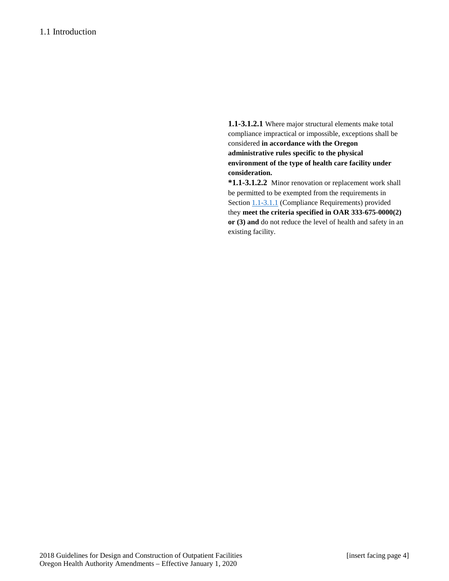**1.1-3.1.2.1** Where major structural elements make total compliance impractical or impossible, exceptions shall be considered **in accordance with the Oregon administrative rules specific to the physical environment of the type of health care facility under consideration.**

**\*1.1-3.1.2.2** Minor renovation or replacement work shall be permitted to be exempted from the requirements in Sectio[n 1.1-3.1.1](http://www.madcad.com/library/230717/664383/#section-1.1-3.1.1) (Compliance Requirements) provided they **meet the criteria specified in OAR 333-675-0000(2) or (3) and** do not reduce the level of health and safety in an existing facility.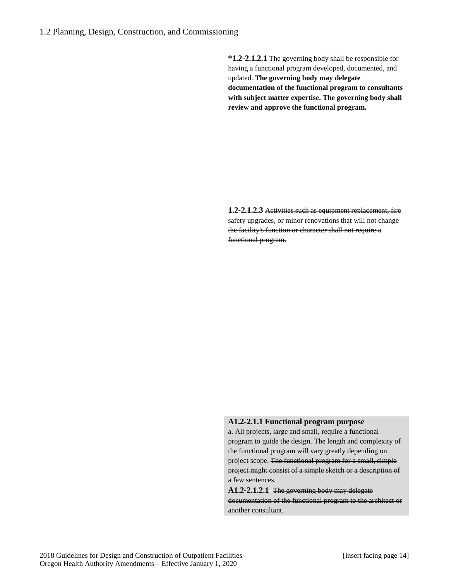**\*1.2-2.1.2.1** The governing body shall be responsible for having a functional program developed, documented, and updated. **The governing body may delegate documentation of the functional program to consultants with subject matter expertise. The governing body shall review and approve the functional program.**

**1.2-2.1.2.3** Activities such as equipment replacement, fire safety upgrades, or minor renovations that will not change the facility's function or character shall not require a functional program.

### **A1.2-2.1.1 Functional program purpose**

a. All projects, large and small, require a functional program to guide the design. The length and complexity of the functional program will vary greatly depending on project scope. The functional program for a small, simple project might consist of a simple sketch or a description of a few sentences.

**A1.2-2.1.2.1** The governing body may delegate documentation of the functional program to the architect or another consultant.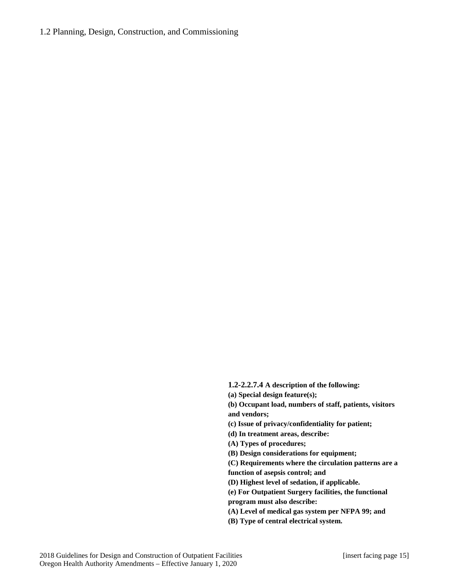### 1.2 Planning, Design, Construction, and Commissioning

**1.2-2.2.7.4 A description of the following:**

**(a) Special design feature(s);** 

**(b) Occupant load, numbers of staff, patients, visitors and vendors;** 

**(c) Issue of privacy/confidentiality for patient;** 

**(d) In treatment areas, describe:** 

**(A) Types of procedures;** 

**(B) Design considerations for equipment;** 

**(C) Requirements where the circulation patterns are a** 

**function of asepsis control; and** 

**(D) Highest level of sedation, if applicable.** 

**(e) For Outpatient Surgery facilities, the functional program must also describe:** 

**(A) Level of medical gas system per NFPA 99; and** 

**(B) Type of central electrical system.**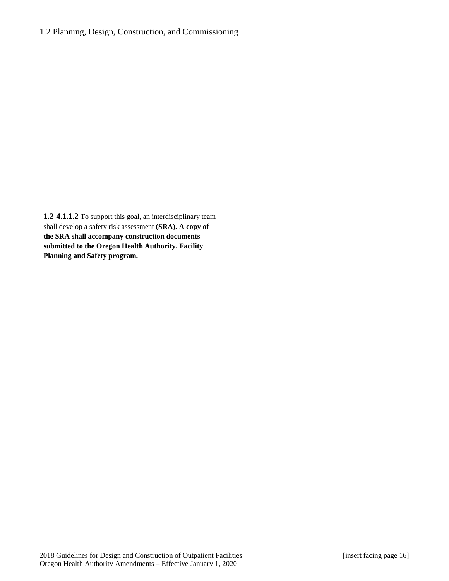**1.2-4.1.1.2** To support this goal, an interdisciplinary team shall develop a safety risk assessment **(SRA). A copy of the SRA shall accompany construction documents submitted to the Oregon Health Authority, Facility Planning and Safety program.**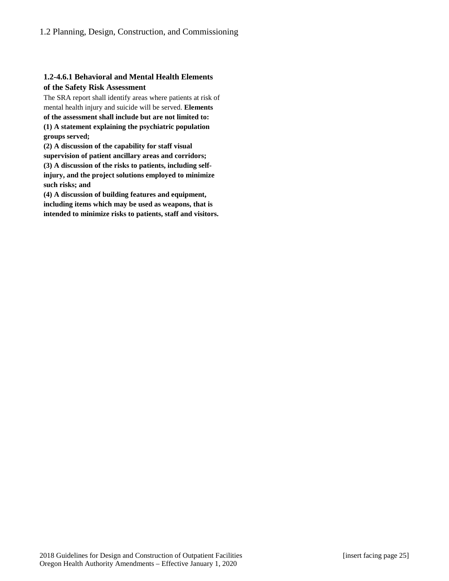# **1.2-4.6.1 Behavioral and Mental Health Elements of the Safety Risk Assessment**

The SRA report shall identify areas where patients at risk of mental health injury and suicide will be served. **Elements of the assessment shall include but are not limited to:** 

**(1) A statement explaining the psychiatric population groups served;** 

**(2) A discussion of the capability for staff visual supervision of patient ancillary areas and corridors; (3) A discussion of the risks to patients, including selfinjury, and the project solutions employed to minimize such risks; and**

**(4) A discussion of building features and equipment, including items which may be used as weapons, that is intended to minimize risks to patients, staff and visitors.**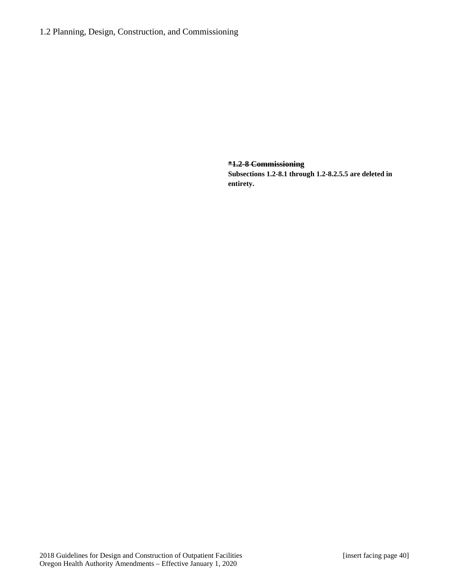**\*1.2-8 Commissioning Subsections 1.2-8.1 through 1.2-8.2.5.5 are deleted in entirety.**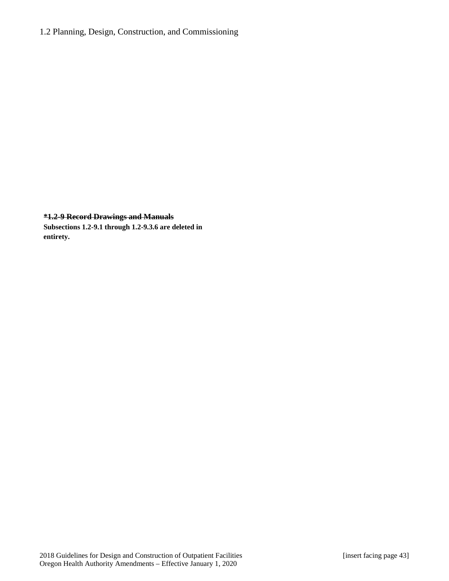# 1.2 Planning, Design, Construction, and Commissioning

### **\*1.2-9 Record Drawings and Manuals**

**Subsections 1.2-9.1 through 1.2-9.3.6 are deleted in entirety.**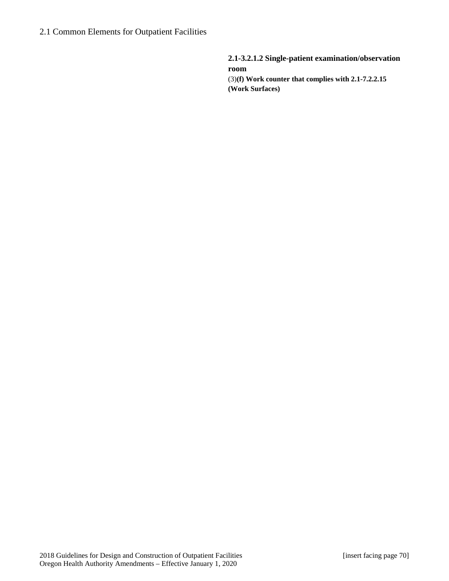**2.1-3.2.1.2 Single-patient examination/observation room**  (3)**(f) Work counter that complies with 2.1-7.2.2.15 (Work Surfaces)**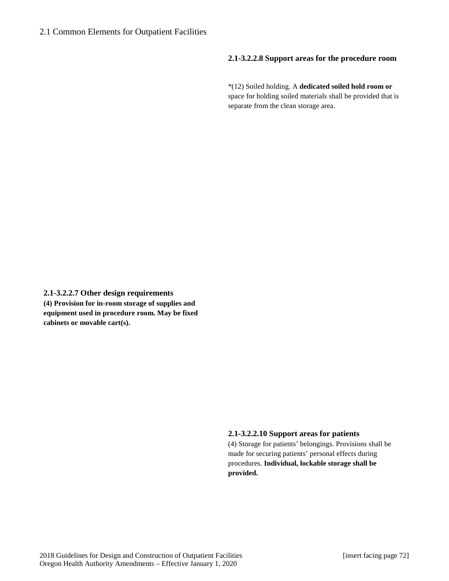### **2.1-3.2.2.8 Support areas for the procedure room**

\*(12) Soiled holding. A **dedicated soiled hold room or**  space for holding soiled materials shall be provided that is separate from the clean storage area.

**2.1-3.2.2.7 Other design requirements (4) Provision for in-room storage of supplies and equipment used in procedure room. May be fixed cabinets or movable cart(s).**

### **2.1-3.2.2.10 Support areas for patients**

(4) Storage for patients' belongings. Provisions shall be made for securing patients' personal effects during procedures. **Individual, lockable storage shall be provided.**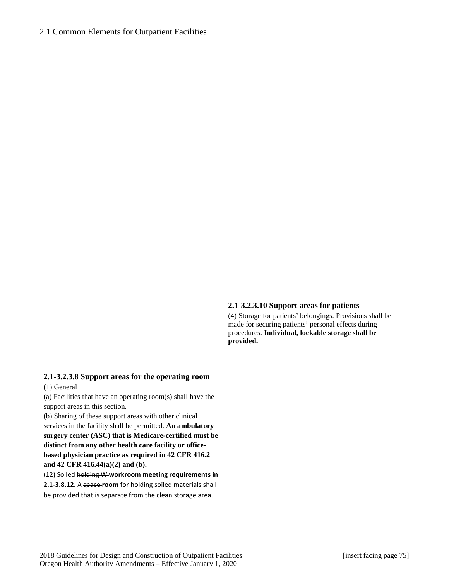#### **2.1-3.2.3.10 Support areas for patients**

(4) Storage for patients' belongings. Provisions shall be made for securing patients' personal effects during procedures. **Individual, lockable storage shall be provided.**

### **2.1-3.2.3.8 Support areas for the operating room**

(1) General

(a) Facilities that have an operating room(s) shall have the support areas in this section.

(b) Sharing of these support areas with other clinical services in the facility shall be permitted. **An ambulatory surgery center (ASC) that is Medicare-certified must be distinct from any other health care facility or officebased physician practice as required in 42 CFR 416.2 and 42 CFR 416.44(a)(2) and (b).**

(12) Soiled holding W **workroom meeting requirements in 2.1-3.8.12.** A space **room** for holding soiled materials shall be provided that is separate from the clean storage area.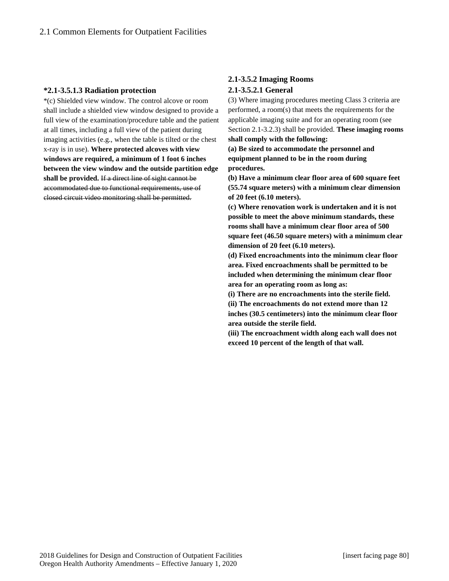#### **\*2.1-3.5.1.3 Radiation protection**

\*(c) Shielded view window. The control alcove or room shall include a shielded view window designed to provide a full view of the examination/procedure table and the patient at all times, including a full view of the patient during imaging activities (e.g., when the table is tilted or the chest x-ray is in use). **Where protected alcoves with view windows are required, a minimum of 1 foot 6 inches between the view window and the outside partition edge shall be provided.** If a direct line of sight cannot be accommodated due to functional requirements, use of closed circuit video monitoring shall be permitted.

# **2.1-3.5.2 Imaging Rooms 2.1-3.5.2.1 General**

(3) Where imaging procedures meeting Class 3 criteria are performed, a room(s) that meets the requirements for the applicable imaging suite and for an operating room (see Section 2.1-3.2.3) shall be provided. **These imaging rooms shall comply with the following:**

**(a) Be sized to accommodate the personnel and equipment planned to be in the room during procedures.** 

**(b) Have a minimum clear floor area of 600 square feet (55.74 square meters) with a minimum clear dimension of 20 feet (6.10 meters).** 

**(c) Where renovation work is undertaken and it is not possible to meet the above minimum standards, these rooms shall have a minimum clear floor area of 500 square feet (46.50 square meters) with a minimum clear dimension of 20 feet (6.10 meters).** 

**(d) Fixed encroachments into the minimum clear floor area. Fixed encroachments shall be permitted to be included when determining the minimum clear floor area for an operating room as long as:** 

**(i) There are no encroachments into the sterile field. (ii) The encroachments do not extend more than 12 inches (30.5 centimeters) into the minimum clear floor area outside the sterile field.** 

**(iii) The encroachment width along each wall does not exceed 10 percent of the length of that wall.**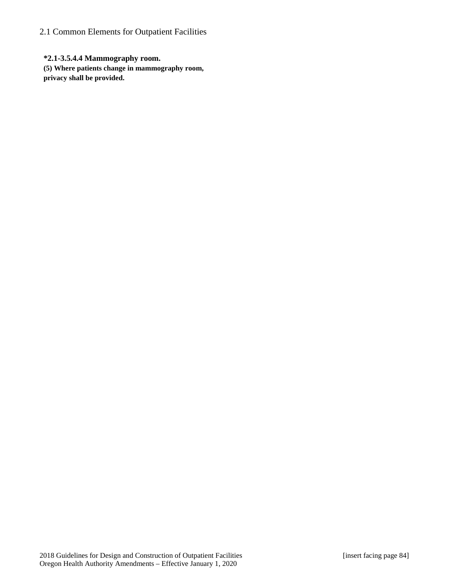**\*2.1-3.5.4.4 Mammography room. (5) Where patients change in mammography room, privacy shall be provided.**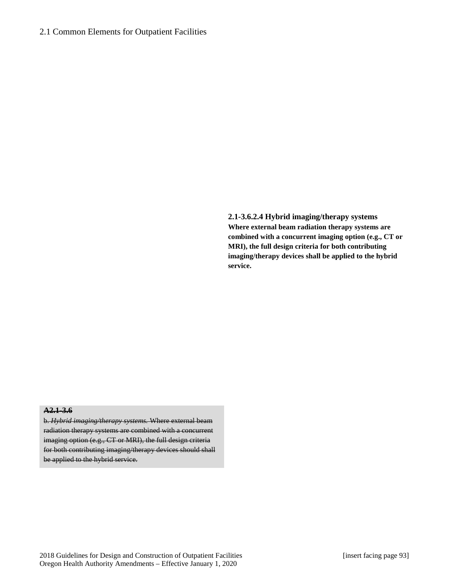**2.1-3.6.2.4 Hybrid imaging/therapy systems Where external beam radiation therapy systems are combined with a concurrent imaging option (e.g., CT or MRI), the full design criteria for both contributing imaging/therapy devices shall be applied to the hybrid service.**

### **A2.1-3.6**

b. *Hybrid imaging/therapy systems.* Where external beam radiation therapy systems are combined with a concurrent imaging option (e.g., CT or MRI), the full design criteria for both contributing imaging/therapy devices should shall be applied to the hybrid service.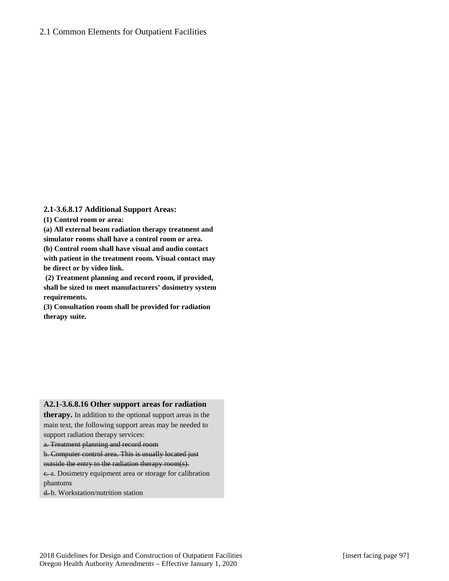### **2.1-3.6.8.17 Additional Support Areas:**

**(1) Control room or area:**

**(a) All external beam radiation therapy treatment and simulator rooms shall have a control room or area.**

**(b) Control room shall have visual and audio contact with patient in the treatment room. Visual contact may be direct or by video link.**

**(2) Treatment planning and record room, if provided, shall be sized to meet manufacturers' dosimetry system requirements.** 

**(3) Consultation room shall be provided for radiation therapy suite.**

### **A2.1-3.6.8.16 Other support areas for radiation**

**therapy.** In addition to the optional support areas in the main text, the following support areas may be needed to support radiation therapy services:

a. Treatment planning and record room

b. Computer control area. This is usually located just

outside the entry to the radiation therapy room(s).

e. a. Dosimetry equipment area or storage for calibration phantoms

d. b. Workstation/nutrition station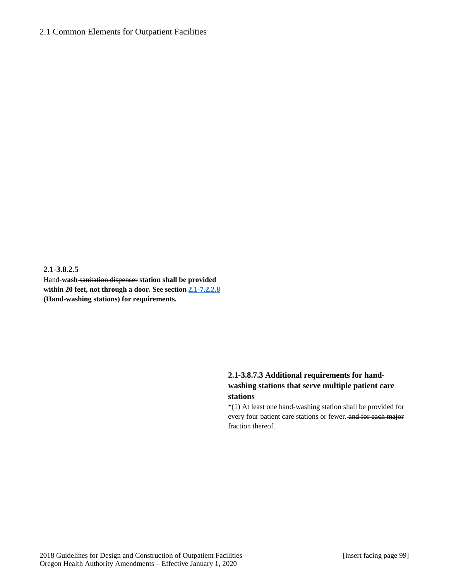#### **2.1-3.8.2.5**

Hand**-wash** sanitation dispenser **station shall be provided within 20 feet, not through a door. See section [2.1-7.](http://www.madcad.com/library/230717/664414/#section-2.1-3.8.7)2.2.8 (Hand-washing stations) for requirements.**

# **2.1-3.8.7.3 Additional requirements for handwashing stations that serve multiple patient care stations**

\*(1) At least one hand-washing station shall be provided for every four patient care stations or fewer. and for each major fraction thereof.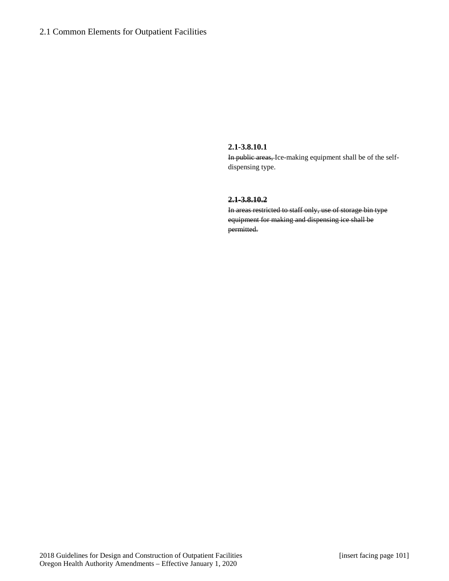#### **2.1-3.8.10.1**

In public areas, Ice-making equipment shall be of the selfdispensing type.

### **2.1-3.8.10.2**

In areas restricted to staff only, use of storage bin type equipment for making and dispensing ice shall be permitted.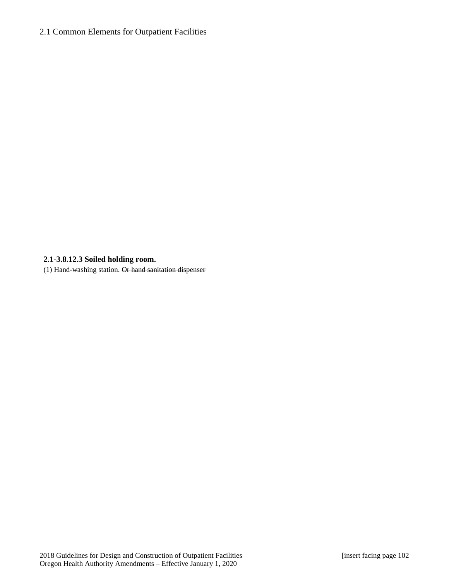# **2.1-3.8.12.3 Soiled holding room.**

(1) Hand-washing station. Or hand sanitation dispenser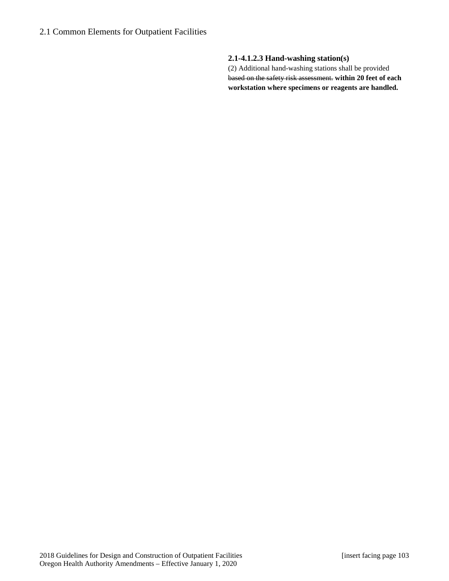# **2.1-4.1.2.3 Hand-washing station(s)**

(2) Additional hand-washing stations shall be provided based on the safety risk assessment. **within 20 feet of each workstation where specimens or reagents are handled.**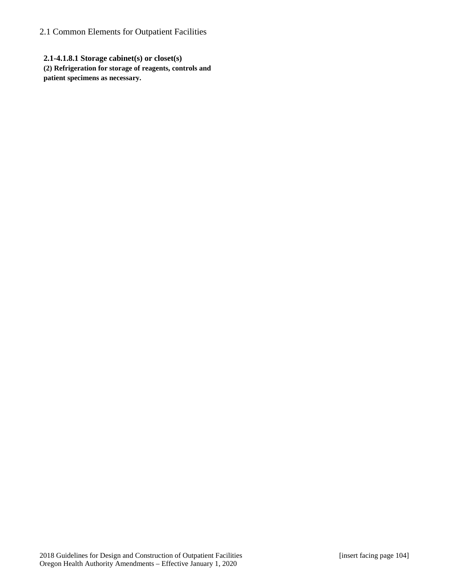**2.1-4.1.8.1 Storage cabinet(s) or closet(s) (2) Refrigeration for storage of reagents, controls and patient specimens as necessary.**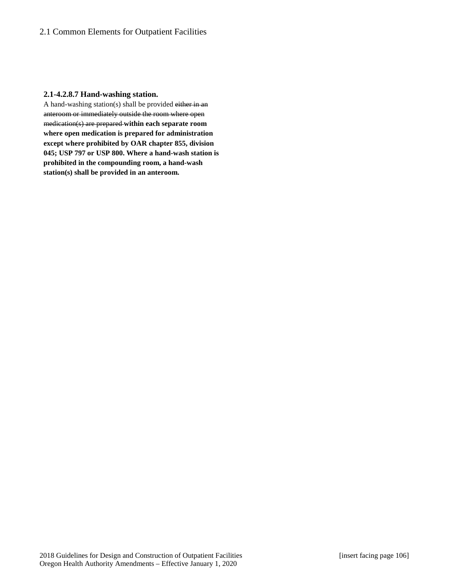### **2.1-4.2.8.7 Hand-washing station.**

A hand-washing station(s) shall be provided either in an anteroom or immediately outside the room where open medication(s) are prepared **within each separate room where open medication is prepared for administration except where prohibited by OAR chapter 855, division 045; USP 797 or USP 800. Where a hand-wash station is prohibited in the compounding room, a hand-wash station(s) shall be provided in an anteroom.**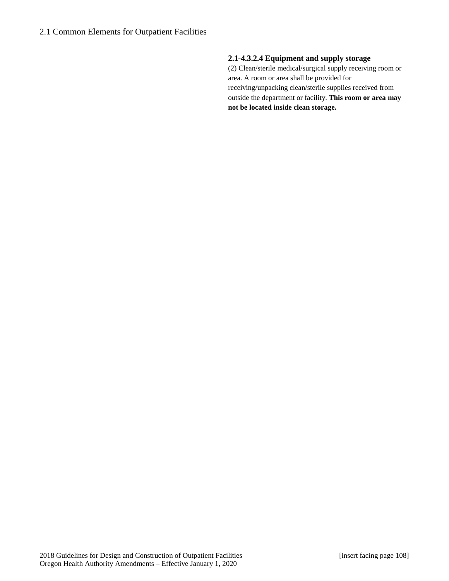# **2.1-4.3.2.4 Equipment and supply storage**

(2) Clean/sterile medical/surgical supply receiving room or area. A room or area shall be provided for receiving/unpacking clean/sterile supplies received from outside the department or facility. **This room or area may not be located inside clean storage.**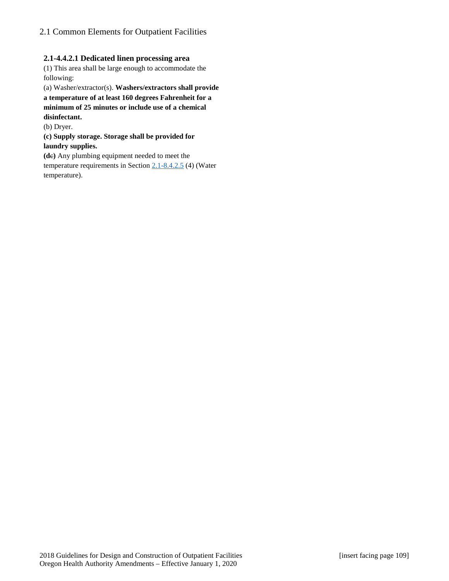## **2.1-4.4.2.1 Dedicated linen processing area**

(1) This area shall be large enough to accommodate the following:

(a) Washer/extractor(s). **Washers/extractors shall provide a temperature of at least 160 degrees Fahrenheit for a minimum of 25 minutes or include use of a chemical disinfectant.**

(b) Dryer.

**(c) Supply storage. Storage shall be provided for laundry supplies.**

**(d**c**)** Any plumbing equipment needed to meet the temperature requirements in Section [2.1-8.4.2.5](http://www.madcad.com/library/230717/664419/#section-2.1-8.4.2.5) (4) (Water temperature).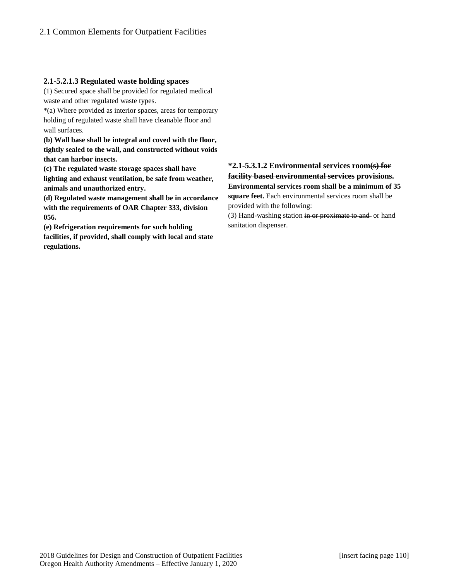### **2.1-5.2.1.3 Regulated waste holding spaces**

(1) Secured space shall be provided for regulated medical waste and other regulated waste types.

\*(a) Where provided as interior spaces, areas for temporary holding of regulated waste shall have cleanable floor and wall surfaces.

**(b) Wall base shall be integral and coved with the floor, tightly sealed to the wall, and constructed without voids that can harbor insects.**

**(c) The regulated waste storage spaces shall have lighting and exhaust ventilation, be safe from weather, animals and unauthorized entry.**

**(d) Regulated waste management shall be in accordance with the requirements of OAR Chapter 333, division 056.** 

**(e) Refrigeration requirements for such holding facilities, if provided, shall comply with local and state regulations.**

# **\*2.1-5.3.1.2 Environmental services room(s) for facility based environmental services provisions. Environmental services room shall be a minimum of 35 square feet.** Each environmental services room shall be provided with the following:

(3) Hand-washing station in or proximate to and or hand sanitation dispenser.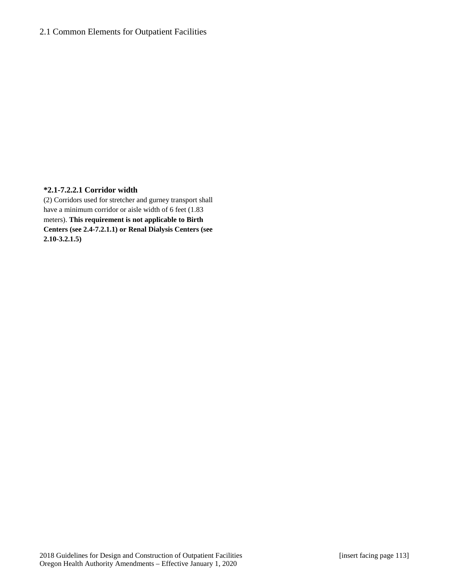### **\*2.1-7.2.2.1 Corridor width**

(2) Corridors used for stretcher and gurney transport shall have a minimum corridor or aisle width of 6 feet (1.83) meters). **This requirement is not applicable to Birth Centers (see 2.4-7.2.1.1) or Renal Dialysis Centers (see 2.10-3.2.1.5)**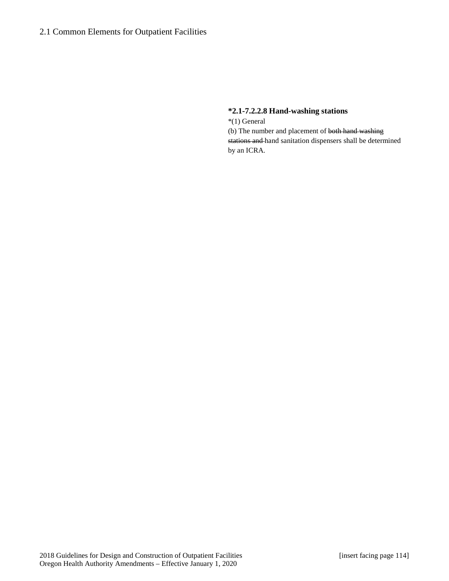### **\*2.1-7.2.2.8 Hand-washing stations**

\*(1) General (b) The number and placement of both hand washing stations and hand sanitation dispensers shall be determined by an ICRA.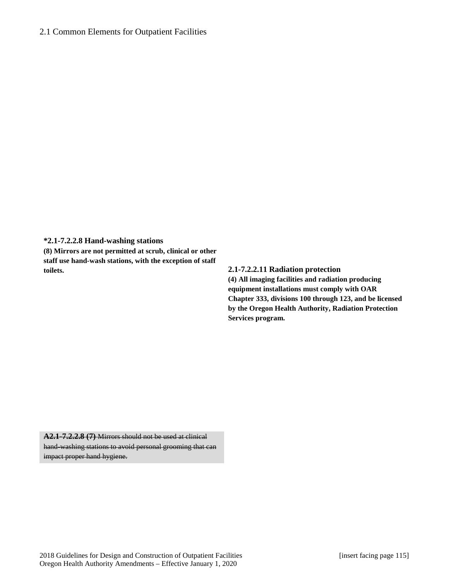**\*2.1-7.2.2.8 Hand-washing stations**

**(8) Mirrors are not permitted at scrub, clinical or other staff use hand-wash stations, with the exception of staff toilets. 2.1-7.2.2.11 Radiation protection**

**(4) All imaging facilities and radiation producing equipment installations must comply with OAR Chapter 333, divisions 100 through 123, and be licensed by the Oregon Health Authority, Radiation Protection Services program.**

**A2.1-7.2.2.8 (7)** Mirrors should not be used at clinical hand-washing stations to avoid personal grooming that can impact proper hand hygiene.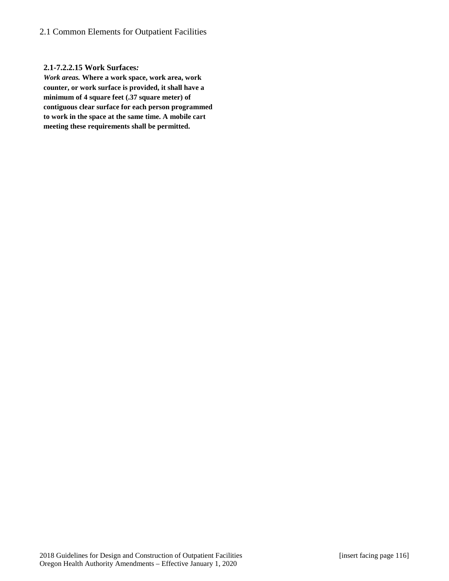### **2.1-7.2.2.15 Work Surfaces***:*

*Work areas.* **Where a work space, work area, work counter, or work surface is provided, it shall have a minimum of 4 square feet (.37 square meter) of contiguous clear surface for each person programmed to work in the space at the same time. A mobile cart meeting these requirements shall be permitted.**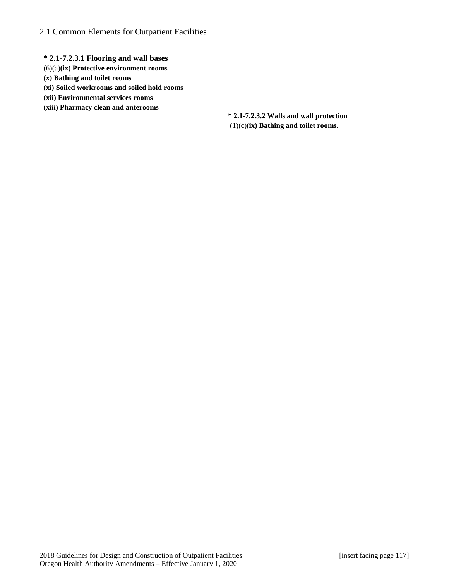- **\* 2.1-7.2.3.1 Flooring and wall bases**
- (6)(a)**(ix) Protective environment rooms**
- **(x) Bathing and toilet rooms**
- **(xi) Soiled workrooms and soiled hold rooms**
- **(xii) Environmental services rooms**
- **(xiii) Pharmacy clean and anterooms**

**\* 2.1-7.2.3.2 Walls and wall protection** (1)(c)**(ix) Bathing and toilet rooms.**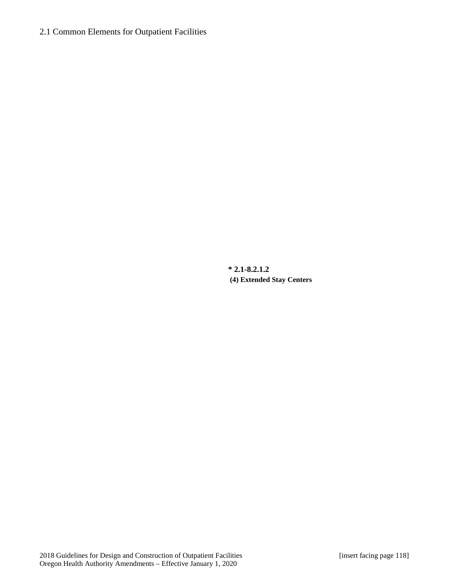**\* 2.1-8.2.1.2 (4) Extended Stay Centers**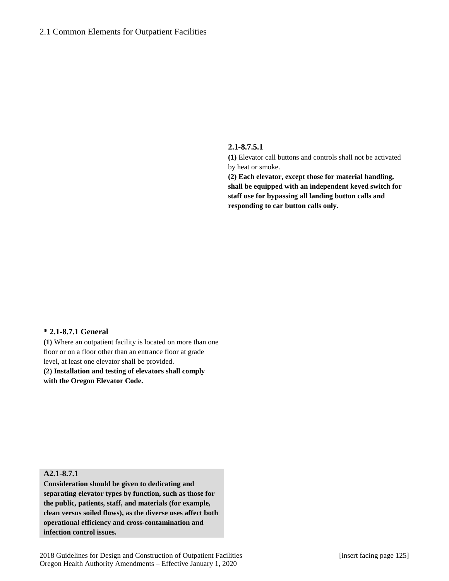#### **2.1-8.7.5.1**

**(1)** Elevator call buttons and controls shall not be activated by heat or smoke.

**(2) Each elevator, except those for material handling, shall be equipped with an independent keyed switch for staff use for bypassing all landing button calls and responding to car button calls only.**

### **\* 2.1-8.7.1 General**

**(1)** Where an outpatient facility is located on more than one floor or on a floor other than an entrance floor at grade level, at least one elevator shall be provided. **(2) Installation and testing of elevators shall comply with the Oregon Elevator Code.**

# **A2.1-8.7.1**

**Consideration should be given to dedicating and separating elevator types by function, such as those for the public, patients, staff, and materials (for example, clean versus soiled flows), as the diverse uses affect both operational efficiency and cross-contamination and infection control issues.**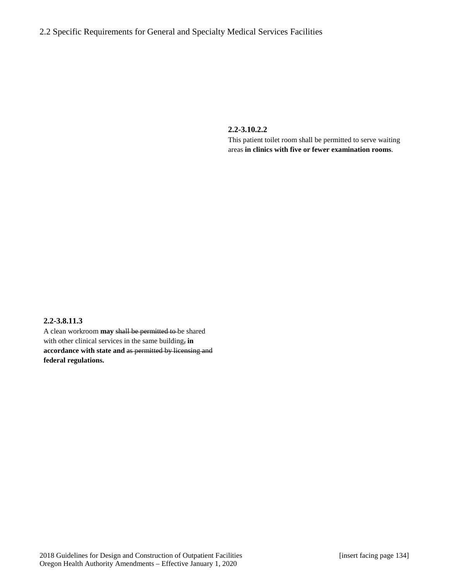# 2.2 Specific Requirements for General and Specialty Medical Services Facilities

**2.2-3.10.2.2**

This patient toilet room shall be permitted to serve waiting areas **in clinics with five or fewer examination rooms**.

### **2.2-3.8.11.3**

A clean workroom **may** shall be permitted to be shared with other clinical services in the same building, **in accordance with state and** as permitted by licensing and **federal regulations.**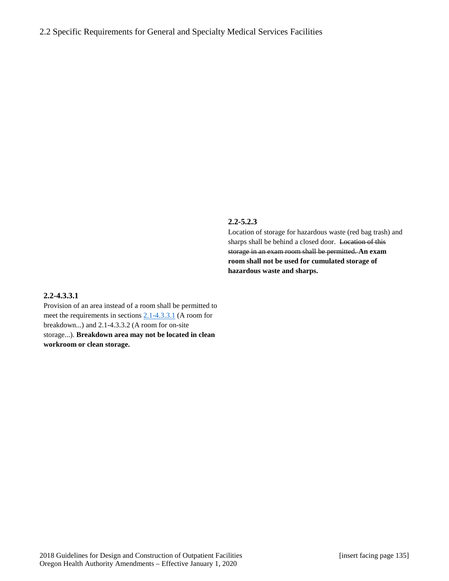### **2.2-5.2.3**

Location of storage for hazardous waste (red bag trash) and sharps shall be behind a closed door. Location of this storage in an exam room shall be permitted. **An exam room shall not be used for cumulated storage of hazardous waste and sharps.**

### **2.2-4.3.3.1**

Provision of an area instead of a room shall be permitted to meet the requirements in section[s 2.1-4.3.3.1](http://www.madcad.com/library/230717/664415/#section-2.1-4.3.3.1) (A room for breakdown...) and 2.1-4.3.3.2 (A room for on-site storage...). **Breakdown area may not be located in clean workroom or clean storage.**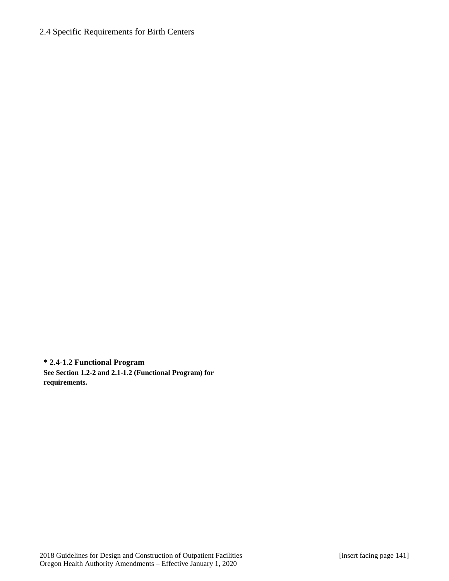# 2.4 Specific Requirements for Birth Centers

**\* 2.4-1.2 Functional Program See Section 1.2-2 and 2.1-1.2 (Functional Program) for requirements.**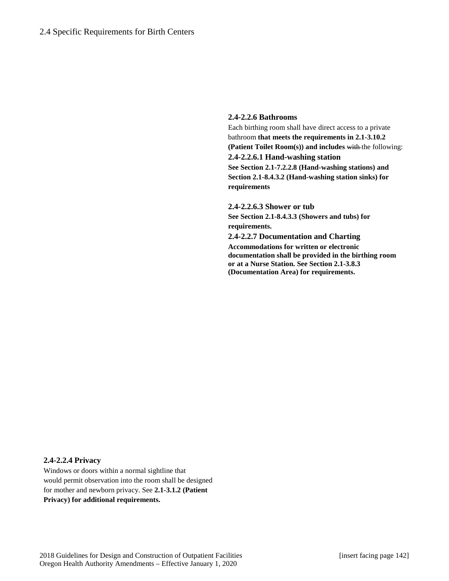### **2.4-2.2.6 Bathrooms**

Each birthing room shall have direct access to a private bathroom **that meets the requirements in 2.1-3.10.2 (Patient Toilet Room(s)) and includes** with the following: **2.4-2.2.6.1 Hand-washing station See Section 2.1-7.2.2.8 (Hand-washing stations) and Section 2.1-8.4.3.2 (Hand-washing station sinks) for requirements**

**2.4-2.2.6.3 Shower or tub See Section 2.1-8.4.3.3 (Showers and tubs) for requirements. 2.4-2.2.7 Documentation and Charting Accommodations for written or electronic documentation shall be provided in the birthing room or at a Nurse Station. See Section 2.1-3.8.3 (Documentation Area) for requirements.**

#### **2.4-2.2.4 Privacy**

Windows or doors within a normal sightline that would permit observation into the room shall be designed for mother and newborn privacy. See **2.1-3.1.2 (Patient Privacy) for additional requirements.**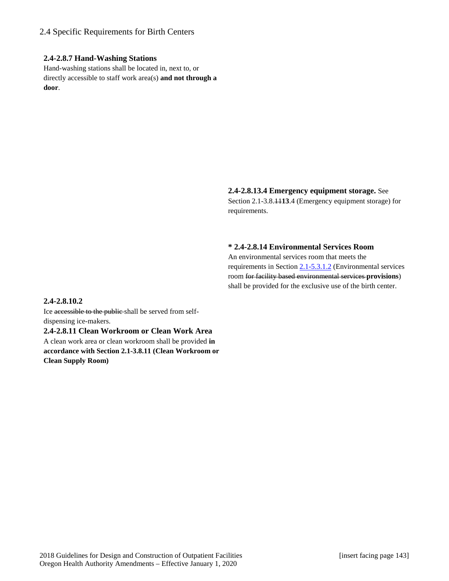# 2.4 Specific Requirements for Birth Centers

### **2.4-2.8.7 Hand-Washing Stations**

Hand-washing stations shall be located in, next to, or directly accessible to staff work area(s) **and not through a door**.

### **2.4-2.8.13.4 Emergency equipment storage.** See

Section 2.1-3.8.11**13**.4 (Emergency equipment storage) for requirements.

### **\* 2.4-2.8.14 Environmental Services Room**

An environmental services room that meets the requirements in Section [2.1-5.3.1.2](http://www.madcad.com/library/230717/664416/#section-2.1-5.3.1.2) (Environmental services room for facility based environmental services **provisions**) shall be provided for the exclusive use of the birth center.

### **2.4-2.8.10.2**

Ice accessible to the public shall be served from selfdispensing ice-makers.

**2.4-2.8.11 Clean Workroom or Clean Work Area** A clean work area or clean workroom shall be provided **in accordance with Section 2.1-3.8.11 (Clean Workroom or Clean Supply Room)**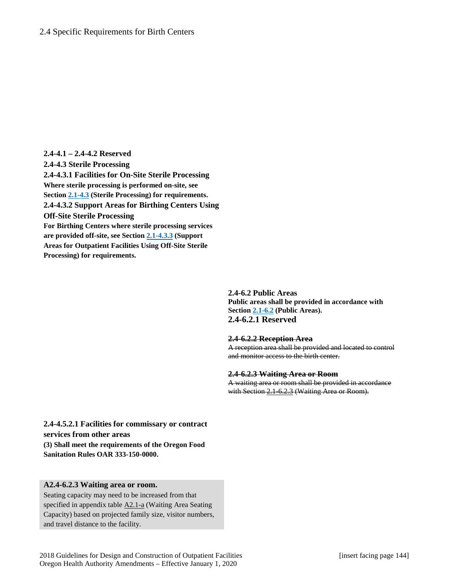**2.4-4.1 – 2.4-4.2 Reserved 2.4-4.3 Sterile Processing 2.4-4.3.1 Facilities for On-Site Sterile Processing Where sterile processing is performed on-site, see Section [2.1-4.3](http://www.madcad.com/library/230717/664415/#section-2.1-4.3) (Sterile Processing) for requirements. 2.4-4.3.2 Support Areas for Birthing Centers Using Off-Site Sterile Processing For Birthing Centers where sterile processing services are provided off-site, see Section [2.1-4.3.3](http://www.madcad.com/library/230717/664415/#section-2.1-4.3.3) (Support Areas for Outpatient Facilities Using Off-Site Sterile Processing) for requirements.**

> **2.4-6.2 Public Areas Public areas shall be provided in accordance with Section [2.1-6.2](http://www.madcad.com/library/230717/664417/#section-2.1-6.2) (Public Areas). 2.4-6.2.1 Reserved**

#### **2.4-6.2.2 Reception Area**

A reception area shall be provided and located to control and monitor access to the birth center.

#### **2.4-6.2.3 Waiting Area or Room**

A waiting area or room shall be provided in accordance with Section 2.1-6.2.3 (Waiting Area or Room).

**2.4-4.5.2.1 Facilities for commissary or contract services from other areas (3) Shall meet the requirements of the Oregon Food Sanitation Rules OAR 333-150-0000.**

#### **A2.4-6.2.3 Waiting area or room.**

Seating capacity may need to be increased from that specified in appendix table A2.1-a (Waiting Area Seating Capacity) based on projected family size, visitor numbers, and travel distance to the facility.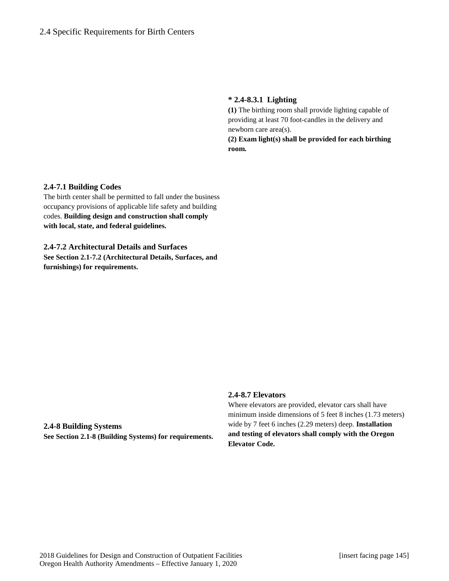### **\* 2.4-8.3.1 Lighting**

**(1)** The birthing room shall provide lighting capable of providing at least 70 foot-candles in the delivery and newborn care area(s).

**(2) Exam light(s) shall be provided for each birthing room.**

### **2.4-7.1 Building Codes**

The birth center shall be permitted to fall under the business occupancy provisions of applicable life safety and building codes. **Building design and construction shall comply with local, state, and federal guidelines.**

# **2.4-7.2 Architectural Details and Surfaces See Section 2.1-7.2 (Architectural Details, Surfaces, and furnishings) for requirements.**

# **2.4-8.7 Elevators**

Where elevators are provided, elevator cars shall have minimum inside dimensions of 5 feet 8 inches (1.73 meters) wide by 7 feet 6 inches (2.29 meters) deep. **Installation and testing of elevators shall comply with the Oregon Elevator Code.**

**2.4-8 Building Systems See Section 2.1-8 (Building Systems) for requirements.**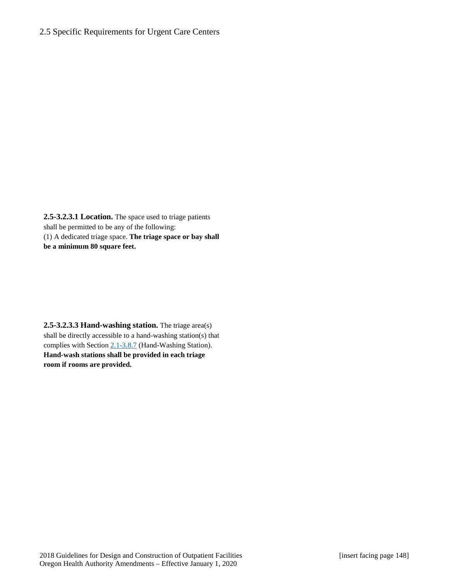### 2.5 Specific Requirements for Urgent Care Centers

**2.5-3.2.3.1 Location.** The space used to triage patients shall be permitted to be any of the following: (1) A dedicated triage space. **The triage space or bay shall be a minimum 80 square feet.**

**2.5-3.2.3.3 Hand-washing station.** The triage area(s) shall be directly accessible to a hand-washing station(s) that complies with Section [2.1-3.8.7](http://www.madcad.com/library/230717/664414/#section-2.1-3.8.7) (Hand-Washing Station). **Hand-wash stations shall be provided in each triage room if rooms are provided.**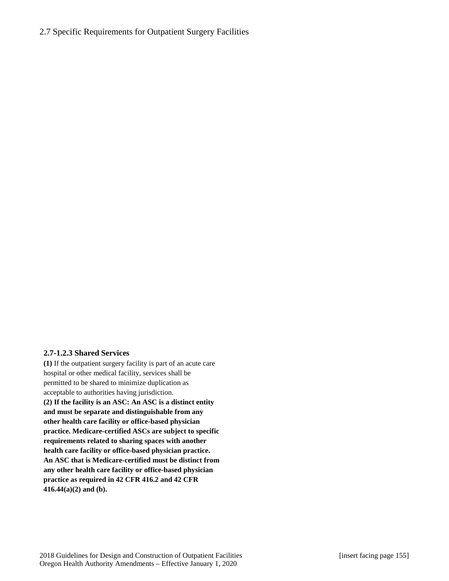# 2.7 Specific Requirements for Outpatient Surgery Facilities

### **2.7-1.2.3 Shared Services**

**(1)** If the outpatient surgery facility is part of an acute care hospital or other medical facility, services shall be permitted to be shared to minimize duplication as acceptable to authorities having jurisdiction. **(2) If the facility is an ASC: An ASC is a distinct entity and must be separate and distinguishable from any other health care facility or office-based physician practice. Medicare-certified ASCs are subject to specific requirements related to sharing spaces with another health care facility or office-based physician practice. An ASC that is Medicare-certified must be distinct from any other health care facility or office-based physician practice as required in 42 CFR 416.2 and 42 CFR 416.44(a)(2) and (b).**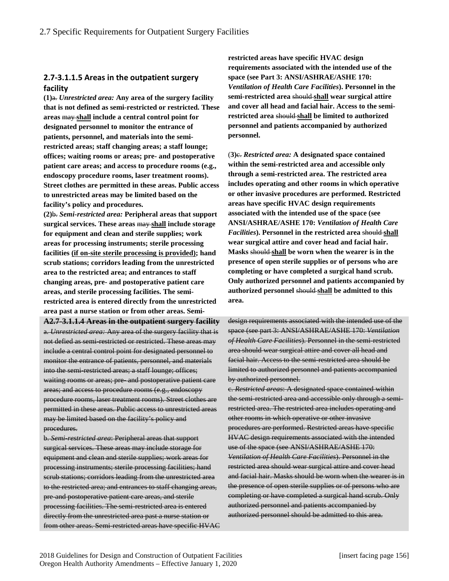# **2.7-3.1.1.5 Areas in the outpatient surgery facility**

**(1)**a. *Unrestricted area:* **Any area of the surgery facility that is not defined as semi-restricted or restricted. These areas** may **shall include a central control point for designated personnel to monitor the entrance of patients, personnel, and materials into the semirestricted areas; staff changing areas; a staff lounge; offices; waiting rooms or areas; pre- and postoperative patient care areas; and access to procedure rooms (e.g., endoscopy procedure rooms, laser treatment rooms). Street clothes are permitted in these areas. Public access to unrestricted areas may be limited based on the facility's policy and procedures.** 

**(2)**b. *Semi-restricted area:* **Peripheral areas that support surgical services. These areas** may **shall include storage for equipment and clean and sterile supplies; work areas for processing instruments; sterile processing facilities (if on-site sterile processing is provided); hand scrub stations; corridors leading from the unrestricted area to the restricted area; and entrances to staff changing areas, pre- and postoperative patient care areas, and sterile processing facilities. The semirestricted area is entered directly from the unrestricted area past a nurse station or from other areas. Semi-**

**A2.7-3.1.1.4 Areas in the outpatient surgery facility** a. *Unrestricted area:* Any area of the surgery facility that is not defied as semi-restricted or restricted. These areas may include a central control point for designated personnel to monitor the entrance of patients, personnel, and materials into the semi-restricted areas; a staff lounge; offices; waiting rooms or areas; pre- and postoperative patient care areas; and access to procedure rooms (e.g., endoscopy procedure rooms, laser treatment rooms). Street clothes are permitted in these areas. Public access to unrestricted areas may be limited based on the facility's policy and procedures.

b. *Semi-restricted area*: Peripheral areas that support surgical services. These areas may include storage for equipment and clean and sterile supplies; work areas for processing instruments; sterile processing facilities; hand scrub stations; corridors leading from the unrestricted area to the restricted area; and entrances to staff changing areas, pre-and postoperative patient care areas, and sterile processing facilities. The semi-restricted area is entered directly from the unrestricted area past a nurse station or from other areas. Semi-restricted areas have specific HVAC **restricted areas have specific HVAC design requirements associated with the intended use of the space (see Part 3: ANSI/ASHRAE/ASHE 170:**  *Ventilation of Health Care Facilities***). Personnel in the semi-restricted area** should **shall wear surgical attire and cover all head and facial hair. Access to the semirestricted area** should **shall be limited to authorized personnel and patients accompanied by authorized personnel.** 

(**3)**c. *Restricted area:* **A designated space contained within the semi-restricted area and accessible only through a semi-restricted area. The restricted area includes operating and other rooms in which operative or other invasive procedures are performed. Restricted areas have specific HVAC design requirements associated with the intended use of the space (see ANSI/ASHRAE/ASHE 170:** *Ventilation of Health Care Facilities***). Personnel in the restricted area** should **shall wear surgical attire and cover head and facial hair. Masks** should **shall be worn when the wearer is in the presence of open sterile supplies or of persons who are completing or have completed a surgical hand scrub. Only authorized personnel and patients accompanied by authorized personnel** should **shall be admitted to this area.**

design requirements associated with the intended use of the space (see part 3: ANSI/ASHRAE/ASHE 170: *Ventilation of Health Care Facilities*). Personnel in the semi-restricted area should wear surgical attire and cover all head and facial hair. Access to the semi-restricted area should be limited to authorized personnel and patients accompanied by authorized personnel.

c. *Restricted areas*: A designated space contained within the semi-restricted area and accessible only through a semirestricted area. The restricted area includes operating and other rooms in which operative or other invasive procedures are performed. Restricted areas have specific HVAC design requirements associated with the intended use of the space (see ANSI/ASHRAE/ASHE 170: *Ventilation of Health Care Facilities*). Personnel in the restricted area should wear surgical attire and cover head and facial hair. Masks should be worn when the wearer is in the presence of open sterile supplies or of persons who are completing or have completed a surgical hand scrub. Only authorized personnel and patients accompanied by authorized personnel should be admitted to this area.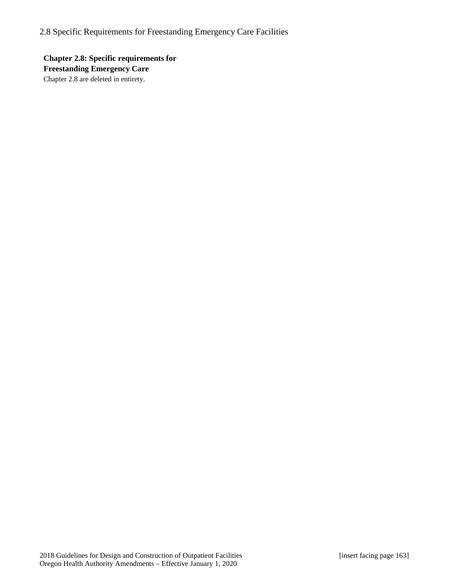**Chapter 2.8: Specific requirements for Freestanding Emergency Care** Chapter 2.8 are deleted in entirety.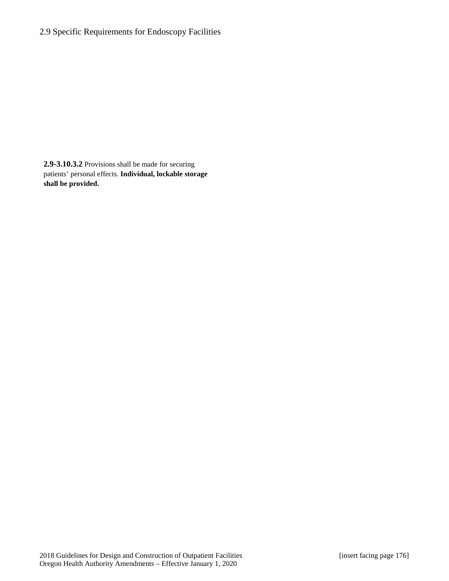# 2.9 Specific Requirements for Endoscopy Facilities

**2.9-3.10.3.2** Provisions shall be made for securing patients' personal effects. **Individual, lockable storage shall be provided.**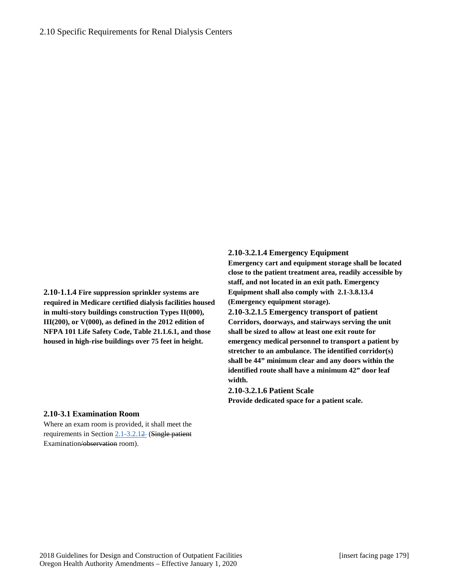**2.10-1.1.4 Fire suppression sprinkler systems are required in Medicare certified dialysis facilities housed in multi-story buildings construction Types II(000), III(200), or V(000), as defined in the 2012 edition of NFPA 101 Life Safety Code, Table 21.1.6.1, and those housed in high-rise buildings over 75 feet in height.**

### **2.10-3.2.1.4 Emergency Equipment**

**Emergency cart and equipment storage shall be located close to the patient treatment area, readily accessible by staff, and not located in an exit path. Emergency Equipment shall also comply with 2.1-3.8.13.4 (Emergency equipment storage).** 

**2.10-3.2.1.5 Emergency transport of patient Corridors, doorways, and stairways serving the unit shall be sized to allow at least one exit route for emergency medical personnel to transport a patient by stretcher to an ambulance. The identified corridor(s) shall be 44" minimum clear and any doors within the identified route shall have a minimum 42" door leaf width.**

#### **2.10-3.2.1.6 Patient Scale**

**Provide dedicated space for a patient scale.**

### **2.10-3.1 Examination Room**

Where an exam room is provided, it shall meet the requirements in Section 2.1-3.2.12 (Single patient Examination/observation room).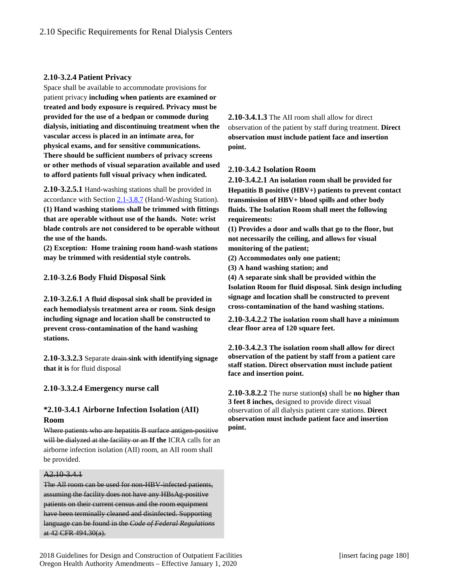### **2.10-3.2.4 Patient Privacy**

Space shall be available to accommodate provisions for patient privacy **including when patients are examined or treated and body exposure is required. Privacy must be provided for the use of a bedpan or commode during dialysis, initiating and discontinuing treatment when the vascular access is placed in an intimate area, for physical exams, and for sensitive communications. There should be sufficient numbers of privacy screens or other methods of visual separation available and used to afford patients full visual privacy when indicated.**

**2.10-3.2.5.1** Hand-washing stations shall be provided in accordance with Section [2.1-3.8.7](http://www.madcad.com/library/230717/664414/#section-2.1-3.8.7) (Hand-Washing Station). **(1) Hand washing stations shall be trimmed with fittings that are operable without use of the hands. Note: wrist blade controls are not considered to be operable without the use of the hands.**

**(2) Exception: Home training room hand-wash stations may be trimmed with residential style controls.** 

**2.10-3.2.6 Body Fluid Disposal Sink**

**2.10-3.2.6.1 A fluid disposal sink shall be provided in each hemodialysis treatment area or room. Sink design including signage and location shall be constructed to prevent cross-contamination of the hand washing stations.**

**2.10-3.3.2.3** Separate drain **sink with identifying signage that it is** for fluid disposal

### **2.10-3.3.2.4 Emergency nurse call**

# **\*2.10-3.4.1 Airborne Infection Isolation (AII) Room**

Where patients who are hepatitis B surface antigen-positive will be dialyzed at the facility or an **If the** ICRA calls for an airborne infection isolation (AII) room, an AII room shall be provided.

### A2.10-3.4.1

The All room can be used for non-HBV-infected patients, assuming the facility does not have any HBsAg-positive patients on their current census and the room equipment have been terminally cleaned and disinfected. Supporting language can be found in the *Code of Federal Regulations* at 42 CFR 494.30(a).

**2.10-3.4.1.3** The AII room shall allow for direct observation of the patient by staff during treatment. **Direct observation must include patient face and insertion point.**

### **2.10-3.4.2 Isolation Room**

**2.10-3.4.2.1 An isolation room shall be provided for Hepatitis B positive (HBV+) patients to prevent contact transmission of HBV+ blood spills and other body fluids. The Isolation Room shall meet the following requirements:**

**(1) Provides a door and walls that go to the floor, but not necessarily the ceiling, and allows for visual monitoring of the patient;**

**(2) Accommodates only one patient;** 

**(3) A hand washing station; and** 

**(4) A separate sink shall be provided within the Isolation Room for fluid disposal. Sink design including signage and location shall be constructed to prevent cross-contamination of the hand washing stations.**

**2.10-3.4.2.2 The isolation room shall have a minimum clear floor area of 120 square feet.**

**2.10-3.4.2.3 The isolation room shall allow for direct observation of the patient by staff from a patient care staff station. Direct observation must include patient face and insertion point.**

**2.10-3.8.2.2** The nurse station**(s)** shall be **no higher than 3 feet 8 inches,** designed to provide direct visual observation of all dialysis patient care stations. **Direct observation must include patient face and insertion point.**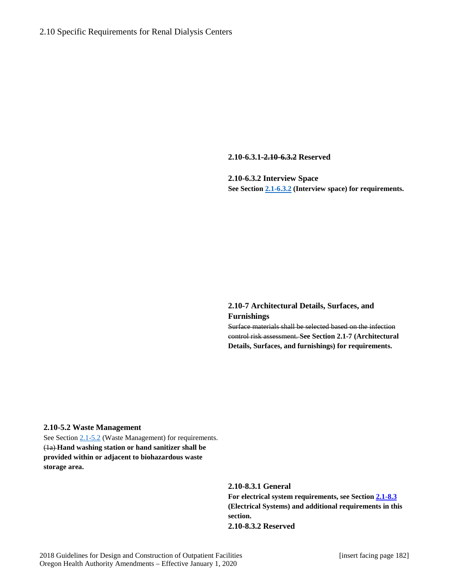**2.10-6.3.1-2.10-6.3.2 Reserved**

**2.10-6.3.2 Interview Space See Sectio[n 2.1-6.3.2](http://www.madcad.com/library/230717/664419/#section-2.1-8.4.3.8) (Interview space) for requirements.**

# **2.10-7 Architectural Details, Surfaces, and Furnishings**

Surface materials shall be selected based on the infection control risk assessment. **See Section 2.1-7 (Architectural Details, Surfaces, and furnishings) for requirements.**

### **2.10-5.2 Waste Management**

See Section [2.1-5.2](http://www.madcad.com/library/230717/664416/#section-2.1-5.2) (Waste Management) for requirements. (1a) **Hand washing station or hand sanitizer shall be provided within or adjacent to biohazardous waste storage area.**

> **2.10-8.3.1 General For electrical system requirements, see Section [2.1-8.3](http://www.madcad.com/library/230717/664419/#section-2.1-8.3) (Electrical Systems) and additional requirements in this section. 2.10-8.3.2 Reserved**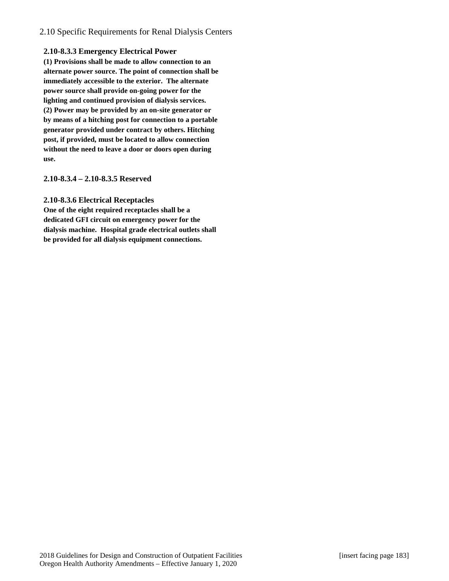# 2.10 Specific Requirements for Renal Dialysis Centers

### **2.10-8.3.3 Emergency Electrical Power**

**(1) Provisions shall be made to allow connection to an alternate power source. The point of connection shall be immediately accessible to the exterior. The alternate power source shall provide on-going power for the lighting and continued provision of dialysis services. (2) Power may be provided by an on-site generator or by means of a hitching post for connection to a portable generator provided under contract by others. Hitching post, if provided, must be located to allow connection without the need to leave a door or doors open during use.**

### **2.10-8.3.4 – 2.10-8.3.5 Reserved**

### **2.10-8.3.6 Electrical Receptacles**

**One of the eight required receptacles shall be a dedicated GFI circuit on emergency power for the dialysis machine. Hospital grade electrical outlets shall be provided for all dialysis equipment connections.**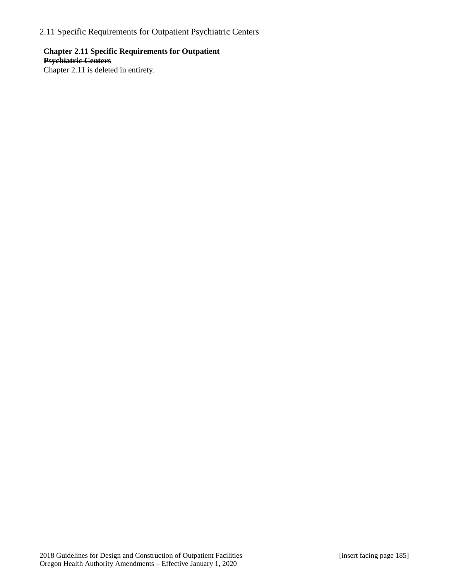2.11 Specific Requirements for Outpatient Psychiatric Centers

# **Chapter 2.11 Specific Requirements for Outpatient Psychiatric Centers**

Chapter 2.11 is deleted in entirety.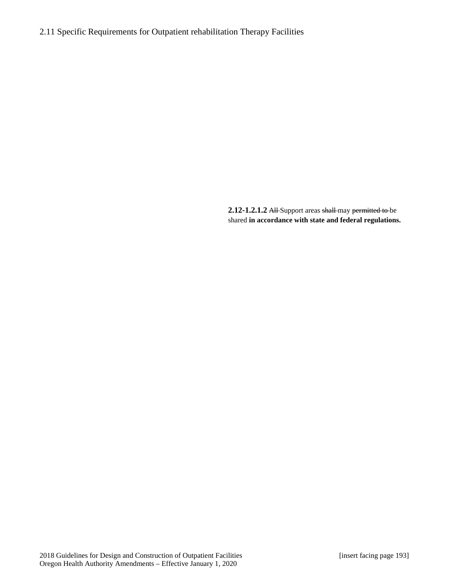# 2.11 Specific Requirements for Outpatient rehabilitation Therapy Facilities

**2.12-1.2.1.2** All Support areas shall may permitted to be shared **in accordance with state and federal regulations.**